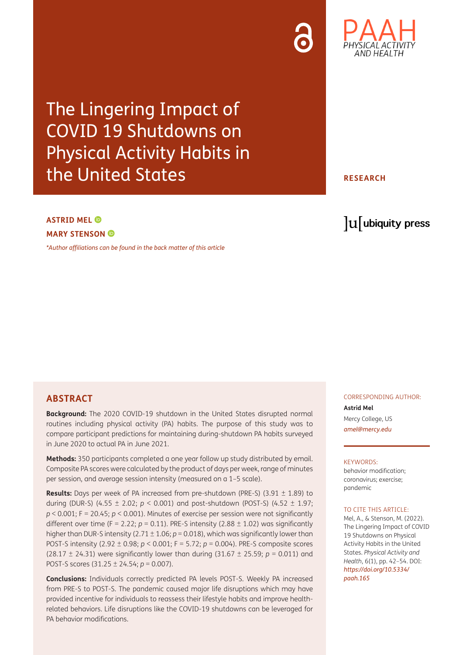## The Lingering Impact of COVID 19 Shutdowns on Physical Activity Habits in the United States

## lu ubiquity press

#### **ASTRID MEL MARY STENSON**

*[\\*Author affiliations can be found in the back matter of this article](#page-10-0)*

#### **ABSTRACT**

**Background:** The 2020 COVID-19 shutdown in the United States disrupted normal routines including physical activity (PA) habits. The purpose of this study was to compare participant predictions for maintaining during-shutdown PA habits surveyed in June 2020 to actual PA in June 2021.

**Methods:** 350 participants completed a one year follow up study distributed by email. Composite PA scores were calculated by the product of days per week, range of minutes per session, and average session intensity (measured on a 1–5 scale).

**Results:** Days per week of PA increased from pre-shutdown (PRE-S) (3.91 ± 1.89) to during (DUR-S) (4.55 ± 2.02; *p* < 0.001) and post-shutdown (POST-S) (4.52 ± 1.97; *p* < 0.001; F = 20.45; *p* < 0.001). Minutes of exercise per session were not significantly different over time (F = 2.22;  $p = 0.11$ ). PRE-S intensity (2.88  $\pm$  1.02) was significantly higher than DUR-S intensity (2.71  $\pm$  1.06;  $p$  = 0.018), which was significantly lower than POST-S intensity (2.92 ± 0.98; *p* < 0.001; F = 5.72; *p* = 0.004). PRE-S composite scores (28.17 ± 24.31) were significantly lower than during (31.67 ± 25.59; *p* = 0.011) and POST-S scores (31.25 ± 24.54; *p* = 0.007).

**Conclusions:** Individuals correctly predicted PA levels POST-S. Weekly PA increased from PRE-S to POST-S. The pandemic caused major life disruptions which may have provided incentive for individuals to reassess their lifestyle habits and improve healthrelated behaviors. Life disruptions like the COVID-19 shutdowns can be leveraged for PA behavior modifications.

CORRESPONDING AUTHOR: **Astrid Mel** Mercy College, US *[amel@mercy.edu](mailto:amel@mercy.edu)*

#### KEYWORDS:

behavior modification; coronavirus; exercise; pandemic

#### TO CITE THIS ARTICLE.

Mel, A., & Stenson, M. (2022). The Lingering Impact of COVID 19 Shutdowns on Physical Activity Habits in the United States. *Physical Activity and Health*, 6(1), pp. 42–54. DOI: *[https://doi.org/10.5334/](https://doi.org/10.5334/paah.165) [paah.165](https://doi.org/10.5334/paah.165)*



**RESEARCH**

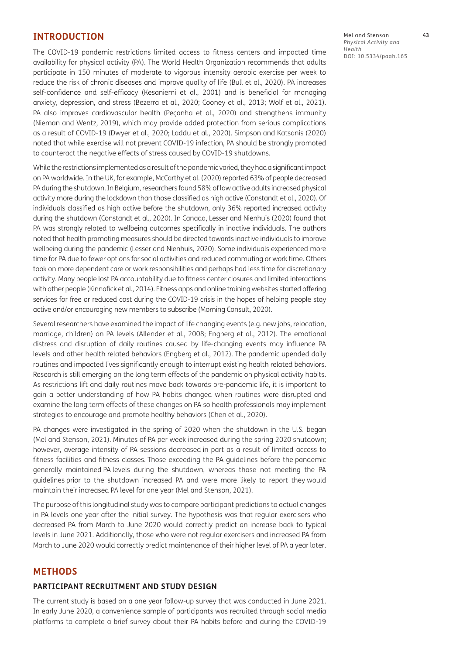#### **INTRODUCTION**

The COVID-19 pandemic restrictions limited access to fitness centers and impacted time availability for physical activity (PA). The World Health Organization recommends that adults participate in 150 minutes of moderate to vigorous intensity aerobic exercise per week to reduce the risk of chronic diseases and improve quality of life ([Bull et al., 2020](#page-10-1)). PA increases self-confidence and self-efficacy [\(Kesaniemi et al., 2001](#page-11-0)) and is beneficial for managing anxiety, depression, and stress ([Bezerra et al., 2020;](#page-10-2) [Cooney et al., 2013](#page-10-3); [Wolf et al., 2021](#page-12-0)). PA also improves cardiovascular health (Peçanha et al., 2020) and strengthens immunity (Nieman and Wentz, 2019), which may provide added protection from serious complications as a result of COVID-19 ([Dwyer et al., 2020](#page-11-1); [Laddu et al., 2020\)](#page-11-2). Simpson and Katsanis ([2020\)](#page-11-3) noted that while exercise will not prevent COVID-19 infection, PA should be strongly promoted to counteract the negative effects of stress caused by COVID-19 shutdowns.

While the restrictions implemented as a result of the pandemic varied, they had a significant impact on PA worldwide. In the UK, for example, McCarthy et al. ([2020\)](#page-11-4) reported 63% of people decreased PA during the shutdown. In Belgium, researchers found 58% of low active adults increased physical activity more during the lockdown than those classified as high active ([Constandt et al., 2020](#page-10-4)). Of individuals classified as high active before the shutdown, only 36% reported increased activity during the shutdown [\(Constandt et al., 2020\)](#page-10-4). In Canada, Lesser and Nienhuis [\(2020](#page-11-5)) found that PA was strongly related to wellbeing outcomes specifically in inactive individuals. The authors noted that health promoting measures should be directed towards inactive individuals to improve wellbeing during the pandemic ([Lesser and Nienhuis, 2020\)](#page-11-5). Some individuals experienced more time for PA due to fewer options for social activities and reduced commuting or work time. Others took on more dependent care or work responsibilities and perhaps had less time for discretionary activity. Many people lost PA accountability due to fitness center closures and limited interactions with other people (Kinnafick et al., 2014). Fitness apps and online training websites started offering services for free or reduced cost during the COVID-19 crisis in the hopes of helping people stay active and/or encouraging new members to subscribe ([Morning Consult, 2020](#page-11-6)).

Several researchers have examined the impact of life changing events (e.g. new jobs, relocation, marriage, children) on PA levels ([Allender et al., 2008;](#page-10-5) [Engberg et al., 2012\)](#page-11-7). The emotional distress and disruption of daily routines caused by life-changing events may influence PA levels and other health related behaviors [\(Engberg et al., 2012\)](#page-11-7). The pandemic upended daily routines and impacted lives significantly enough to interrupt existing health related behaviors. Research is still emerging on the long term effects of the pandemic on physical activity habits. As restrictions lift and daily routines move back towards pre-pandemic life, it is important to gain a better understanding of how PA habits changed when routines were disrupted and examine the long term effects of these changes on PA so health professionals may implement strategies to encourage and promote healthy behaviors ([Chen et al., 2020](#page-10-6)).

PA changes were investigated in the spring of 2020 when the shutdown in the U.S. began [\(Mel and Stenson, 2021\)](#page-11-8). Minutes of PA per week increased during the spring 2020 shutdown; however, average intensity of PA sessions decreased in part as a result of limited access to fitness facilities and fitness classes. Those exceeding the PA guidelines before the pandemic generally maintained PA levels during the shutdown, whereas those not meeting the PA guidelines prior to the shutdown increased PA and were more likely to report they would maintain their increased PA level for one year ([Mel and Stenson, 2021](#page-11-8)).

The purpose of this longitudinal study was to compare participant predictions to actual changes in PA levels one year after the initial survey. The hypothesis was that regular exercisers who decreased PA from March to June 2020 would correctly predict an increase back to typical levels in June 2021. Additionally, those who were not regular exercisers and increased PA from March to June 2020 would correctly predict maintenance of their higher level of PA a year later.

#### **METHODS**

#### **PARTICIPANT RECRUITMENT AND STUDY DESIGN**

The current study is based on a one year follow-up survey that was conducted in June 2021. In early June 2020, a convenience sample of participants was recruited through social media platforms to complete a brief survey about their PA habits before and during the COVID-19 Mel and Stenson **43** *Physical Activity and Health* DOI: 10.5334/paah.165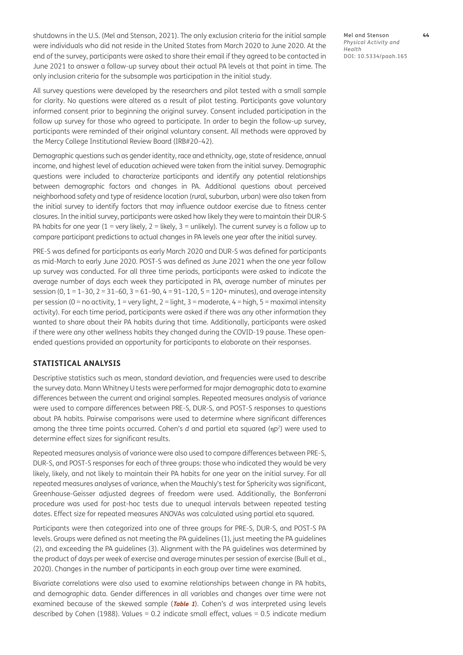shutdowns in the U.S. ([Mel and Stenson, 2021\)](#page-11-8). The only exclusion criteria for the initial sample were individuals who did not reside in the United States from March 2020 to June 2020. At the end of the survey, participants were asked to share their email if they agreed to be contacted in June 2021 to answer a follow-up survey about their actual PA levels at that point in time. The only inclusion criteria for the subsample was participation in the initial study.

All survey questions were developed by the researchers and pilot tested with a small sample for clarity. No questions were altered as a result of pilot testing. Participants gave voluntary informed consent prior to beginning the original survey. Consent included participation in the follow up survey for those who agreed to participate. In order to begin the follow-up survey, participants were reminded of their original voluntary consent. All methods were approved by the Mercy College Institutional Review Board (IRB#20–42).

Demographic questions such as gender identity, race and ethnicity, age, state of residence, annual income, and highest level of education achieved were taken from the initial survey. Demographic questions were included to characterize participants and identify any potential relationships between demographic factors and changes in PA. Additional questions about perceived neighborhood safety and type of residence location (rural, suburban, urban) were also taken from the initial survey to identify factors that may influence outdoor exercise due to fitness center closures. In the initial survey, participants were asked how likely they were to maintain their DUR-S PA habits for one year (1 = very likely, 2 = likely, 3 = unlikely). The current survey is a follow up to compare participant predictions to actual changes in PA levels one year after the initial survey.

PRE-S was defined for participants as early March 2020 and DUR-S was defined for participants as mid-March to early June 2020. POST-S was defined as June 2021 when the one year follow up survey was conducted. For all three time periods, participants were asked to indicate the average number of days each week they participated in PA, average number of minutes per session (0,  $1 = 1-30$ ,  $2 = 31-60$ ,  $3 = 61-90$ ,  $4 = 91-120$ ,  $5 = 120+$  minutes), and average intensity per session (0 = no activity, 1 = very light, 2 = light, 3 = moderate, 4 = high, 5 = maximal intensity activity). For each time period, participants were asked if there was any other information they wanted to share about their PA habits during that time. Additionally, participants were asked if there were any other wellness habits they changed during the COVID-19 pause. These openended questions provided an opportunity for participants to elaborate on their responses.

#### **STATISTICAL ANALYSIS**

Descriptive statistics such as mean, standard deviation, and frequencies were used to describe the survey data. Mann Whitney U tests were performed for major demographic data to examine differences between the current and original samples. Repeated measures analysis of variance were used to compare differences between PRE-S, DUR-S, and POST-S responses to questions about PA habits. Pairwise comparisons were used to determine where significant differences among the three time points occurred. Cohen's *d* and partial eta squared (ηp2) were used to determine effect sizes for significant results.

Repeated measures analysis of variance were also used to compare differences between PRE-S, DUR-S, and POST-S responses for each of three groups: those who indicated they would be very likely, likely, and not likely to maintain their PA habits for one year on the initial survey. For all repeated measures analyses of variance, when the Mauchly's test for Sphericity was significant, Greenhouse-Geisser adjusted degrees of freedom were used. Additionally, the Bonferroni procedure was used for post-hoc tests due to unequal intervals between repeated testing dates. Effect size for repeated measures ANOVAs was calculated using partial eta squared.

Participants were then categorized into one of three groups for PRE-S, DUR-S, and POST-S PA levels. Groups were defined as not meeting the PA guidelines (1), just meeting the PA guidelines (2), and exceeding the PA guidelines (3). Alignment with the PA guidelines was determined by the product of days per week of exercise and average minutes per session of exercise [\(Bull et al.,](#page-10-1)  [2020](#page-10-1)). Changes in the number of participants in each group over time were examined.

Bivariate correlations were also used to examine relationships between change in PA habits, and demographic data. Gender differences in all variables and changes over time were not examined because of the skewed sample (**[Table 1](#page-3-0)**). Cohen's *d* was interpreted using levels described by Cohen [\(1988\)](#page-10-7). Values = 0.2 indicate small effect, values = 0.5 indicate medium Mel and Stenson **44** *Physical Activity and Health* DOI: 10.5334/paah.165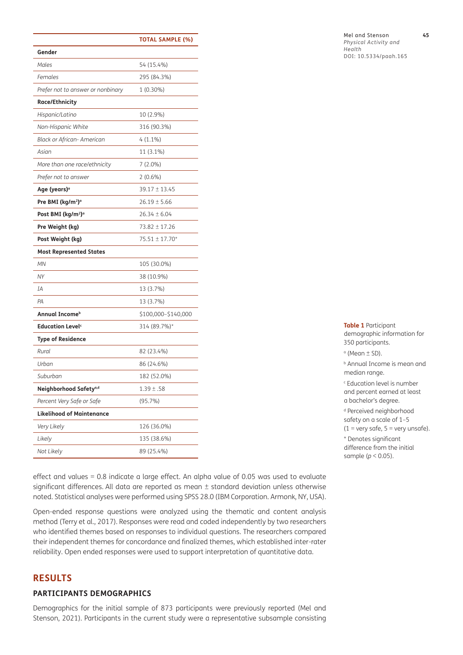|                                            | <b>TOTAL SAMPLE (%)</b> |
|--------------------------------------------|-------------------------|
| Gender                                     |                         |
| Males                                      | 54 (15.4%)              |
| Females                                    | 295 (84.3%)             |
| Prefer not to answer or nonbinary          | 1 (0.30%)               |
| Race/Ethnicity                             |                         |
| Hispanic/Latino                            | 10 (2.9%)               |
| Non-Hispanic White                         | 316 (90.3%)             |
| Black or African- American                 | $4(1.1\%)$              |
| Asian                                      | 11 (3.1%)               |
| More than one race/ethnicity               | $7(2.0\%)$              |
| Prefer not to answer                       | $2(0.6\%)$              |
| Age (years)ª                               | $39.17 \pm 13.45$       |
| Pre BMI (kg/m <sup>2</sup> ) <sup>o</sup>  | $26.19 \pm 5.66$        |
| Post BMI (kg/m <sup>2</sup> ) <sup>a</sup> | $26.34 \pm 6.04$        |
| Pre Weight (kg)                            | 73.82 ± 17.26           |
| Post Weight (kg)                           | 75.51 ± 17.70*          |
| <b>Most Represented States</b>             |                         |
| MN                                         | 105 (30.0%)             |
| <b>NY</b>                                  | 38 (10.9%)              |
| IA                                         | 13 (3.7%)               |
| PA                                         | 13 (3.7%)               |
| Annual Income <sup>b</sup>                 | \$100,000-\$140,000     |
| <b>Education Level</b> <sup>c</sup>        | 314 (89.7%)*            |
| <b>Type of Residence</b>                   |                         |
| Rural                                      | 82 (23.4%)              |
| Urban                                      | 86 (24.6%)              |
| Suburban                                   | 182 (52.0%)             |
| Neighborhood Safety <sup>a,d</sup>         | $1.39 \pm .58$          |
| Percent Very Safe or Safe                  | $(95.7\%)$              |
| <b>Likelihood of Maintenance</b>           |                         |
| Very Likely                                | 126 (36.0%)             |
| Likely                                     | 135 (38.6%)             |
| Not Likely                                 | 89 (25.4%)              |
|                                            |                         |

<span id="page-3-0"></span>**Table 1** Participant demographic information for 350 participants.

a (Mean ± SD).

b Annual Income is mean and median range.

c Education level is number and percent earned at least a bachelor's degree.

d Perceived neighborhood safety on a scale of 1–5  $(1 = \text{very safe}, 5 = \text{very unsafe}).$ 

\* Denotes significant difference from the initial sample (*p* < 0.05).

effect and values = 0.8 indicate a large effect. An alpha value of 0.05 was used to evaluate significant differences. All data are reported as mean ± standard deviation unless otherwise noted. Statistical analyses were performed using SPSS 28.0 (IBM Corporation. Armonk, NY, USA).

Open-ended response questions were analyzed using the thematic and content analysis method ([Terry et al., 2017](#page-11-9)). Responses were read and coded independently by two researchers who identified themes based on responses to individual questions. The researchers compared their independent themes for concordance and finalized themes, which established inter-rater reliability. Open ended responses were used to support interpretation of quantitative data.

### **RESULTS**

#### **PARTICIPANTS DEMOGRAPHICS**

Demographics for the initial sample of 873 participants were previously reported [\(Mel and](#page-11-8)  [Stenson, 2021\)](#page-11-8). Participants in the current study were a representative subsample consisting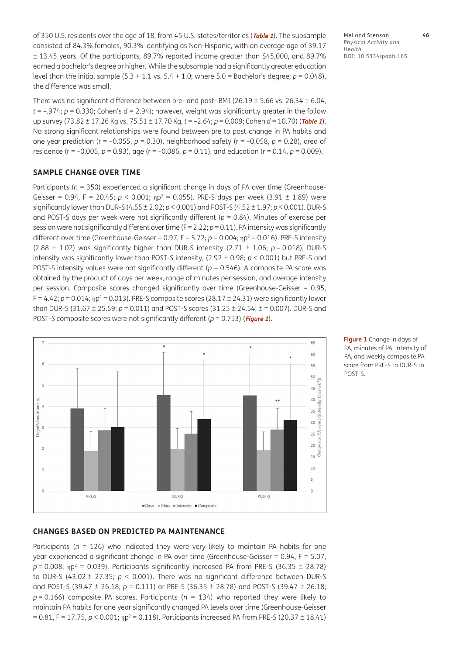of 350 U.S. residents over the age of 18, from 45 U.S. states/territories (**[Table 1](#page-3-0)**). The subsample consisted of 84.3% females, 90.3% identifying as Non-Hispanic, with an average age of 39.17 ± 13.45 years. Of the participants, 89.7% reported income greater than \$45,000, and 89.7% earned a bachelor's degree or higher. While the subsample had a significantly greater education level than the initial sample (5.3 + 1.1 vs. 5.4 + 1.0; where 5.0 = Bachelor's degree; *p* = 0.048), the difference was small.

There was no significant difference between pre- and post- BMI ( $26.19 \pm 5.66$  vs.  $26.34 \pm 6.04$ ,  $t = -0.974$ ;  $p = 0.330$ ; Cohen's  $d = 2.94$ ; however, weight was significantly greater in the follow up survey (73.82 ± 17.26 Kg vs. 75.51 ± 17.70 Kg, *t* = –2.64; *p* = 0.009; Cohen *d* = 10.70) (**[Table](#page-3-0) <sup>1</sup>**). No strong significant relationships were found between pre to post change in PA habits and one year prediction ( $r = -0.055$ ,  $p = 0.30$ ), neighborhood safety ( $r = -0.058$ ,  $p = 0.28$ ), area of residence (r = –0.005, *p* = 0.93), age (r = –0.086, *p* = 0.11), and education (r = 0.14, *p* = 0.009).

#### **SAMPLE CHANGE OVER TIME**

Participants ( $n = 350$ ) experienced a significant change in days of PA over time (Greenhouse-Geisser = 0.94, F = 20.45;  $p < 0.001$ ;  $np^2$  = 0.055). PRE-S days per week (3.91  $\pm$  1.89) were significantly lower than DUR-S (4.55 ± 2.02; *p* < 0.001) and POST-S (4.52 ± 1.97; *p* < 0.001). DUR-S and POST-S days per week were not significantly different (*p* = 0.84). Minutes of exercise per session were not significantly different over time (F = 2.22; *p* = 0.11). PA intensity was significantly different over time (Greenhouse-Geisser = 0.97, F = 5.72;  $p$  = 0.004;  $np^2$  = 0.016). PRE-S intensity (2.88  $\pm$  1.02) was significantly higher than DUR-S intensity (2.71  $\pm$  1.06;  $p = 0.018$ ), DUR-S intensity was significantly lower than POST-S intensity, (2.92 ± 0.98; *p* < 0.001) but PRE-S and POST-S intensity values were not significantly different ( $p = 0.546$ ). A composite PA score was obtained by the product of days per week, range of minutes per session, and average intensity per session. Composite scores changed significantly over time (Greenhouse-Geisser = 0.95, F = 4.42;  $p$  = 0.014;  $np^2$  = 0.013). PRE-S composite scores (28.17  $\pm$  24.31) were significantly lower than DUR-S (31.67 ± 25.59; *p* = 0.011) and POST-S scores (31.25 ± 24.54; ± = 0.007). DUR-S and POST-S composite scores were not significantly different (*p* = 0.753) (**[Figure 1](#page-4-0)**).



<span id="page-4-0"></span>**Figure 1** Change in days of PA, minutes of PA, intensity of PA, and weekly composite PA score from PRE-S to DUR-S to POST-S.

#### **CHANGES BASED ON PREDICTED PA MAINTENANCE**

Participants ( $n = 126$ ) who indicated they were very likely to maintain PA habits for one year experienced a significant change in PA over time (Greenhouse-Geisser = 0.94, F = 5.07,  $p = 0.008$ ;  $np^2 = 0.039$ ). Participants significantly increased PA from PRE-S (36.35  $\pm$  28.78) to DUR-S (43.02 ± 27.35; *p* < 0.001). There was no significant difference between DUR-S and POST-S (39.47 ± 26.18; *p* = 0.111) or PRE-S (36.35 ± 28.78) and POST-S (39.47 ± 26.18; *p* = 0.166) composite PA scores. Participants (*n* = 134) who reported they were likely to maintain PA habits for one year significantly changed PA levels over time (Greenhouse-Geisser = 0.81, F = 17.75, *p* < 0.001; ηp2 = 0.118). Participants increased PA from PRE-S (20.37 ± 18.41)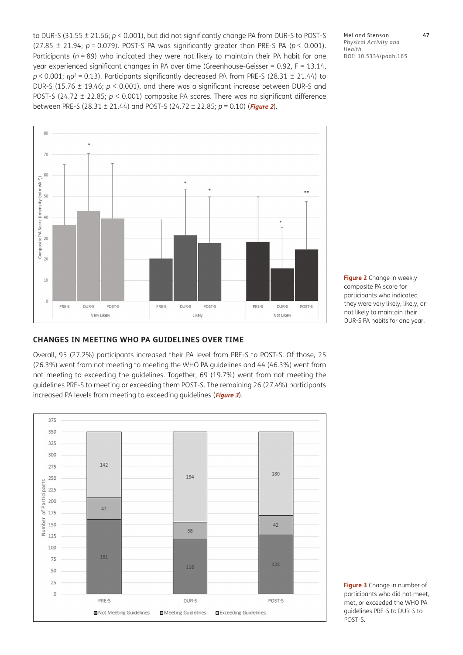to DUR-S (31.55 ± 21.66; *p* < 0.001), but did not significantly change PA from DUR-S to POST-S (27.85  $\pm$  21.94;  $p = 0.079$ ). POST-S PA was significantly greater than PRE-S PA ( $p < 0.001$ ). Participants (*n* = 89) who indicated they were not likely to maintain their PA habit for one year experienced significant changes in PA over time (Greenhouse-Geisser = 0.92, F = 13.14,  $p < 0.001$ ;  $np^2 = 0.13$ ). Participants significantly decreased PA from PRE-S (28.31  $\pm$  21.44) to DUR-S (15.76 ± 19.46; *p* < 0.001), and there was a significant increase between DUR-S and POST-S (24.72 ± 22.85; *p* < 0.001) composite PA scores. There was no significant difference between PRE-S (28.31 ± 21.44) and POST-S (24.72 ± 22.85; *p* = 0.10) (**[Figure 2](#page-5-0)**).

Mel and Stenson **47** *Physical Activity and Health* DOI: 10.5334/paah.165



#### **CHANGES IN MEETING WHO PA GUIDELINES OVER TIME**

Overall, 95 (27.2%) participants increased their PA level from PRE-S to POST-S. Of those, 25 (26.3%) went from not meeting to meeting the WHO PA guidelines and 44 (46.3%) went from not meeting to exceeding the guidelines. Together, 69 (19.7%) went from not meeting the guidelines PRE-S to meeting or exceeding them POST-S. The remaining 26 (27.4%) participants increased PA levels from meeting to exceeding guidelines (**[Figure 3](#page-5-1)**).



<span id="page-5-0"></span>**Figure 2** Change in weekly composite PA score for participants who indicated they were very likely, likely, or not likely to maintain their DUR-S PA habits for one year.

<span id="page-5-1"></span>**Figure 3** Change in number of participants who did not meet, met, or exceeded the WHO PA guidelines PRE-S to DUR-S to POST-S.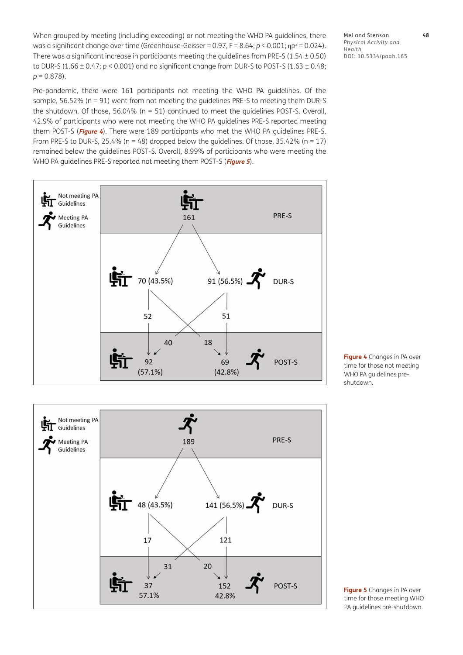When grouped by meeting (including exceeding) or not meeting the WHO PA guidelines, there was a significant change over time (Greenhouse-Geisser = 0.97, F = 8.64; *p* < 0.001; ηp<sup>2</sup> = 0.024). There was a significant increase in participants meeting the guidelines from PRE-S (1.54  $\pm$  0.50) to DUR-S (1.66  $\pm$  0.47;  $p$  < 0.001) and no significant change from DUR-S to POST-S (1.63  $\pm$  0.48; *p* = 0.878).

Pre-pandemic, there were 161 participants not meeting the WHO PA guidelines. Of the sample, 56.52% (n = 91) went from not meeting the guidelines PRE-S to meeting them DUR-S the shutdown. Of those, 56.04% (n = 51) continued to meet the guidelines POST-S. Overall, 42.9% of participants who were not meeting the WHO PA guidelines PRE-S reported meeting them POST-S (**[Figure 4](#page-6-0)**). There were 189 participants who met the WHO PA guidelines PRE-S. From PRE-S to DUR-S, 25.4% ( $n = 48$ ) dropped below the quidelines. Of those, 35.42% ( $n = 17$ ) remained below the guidelines POST-S. Overall, 8.99% of participants who were meeting the WHO PA guidelines PRE-S reported not meeting them POST-S (**[Figure 5](#page-6-1)**).





Mel and Stenson **48** *Physical Activity and Health* DOI: 10.5334/paah.165

<span id="page-6-0"></span>**Figure 4** Changes in PA over time for those not meeting WHO PA guidelines preshutdown.

<span id="page-6-1"></span>**Figure 5** Changes in PA over time for those meeting WHO PA guidelines pre-shutdown.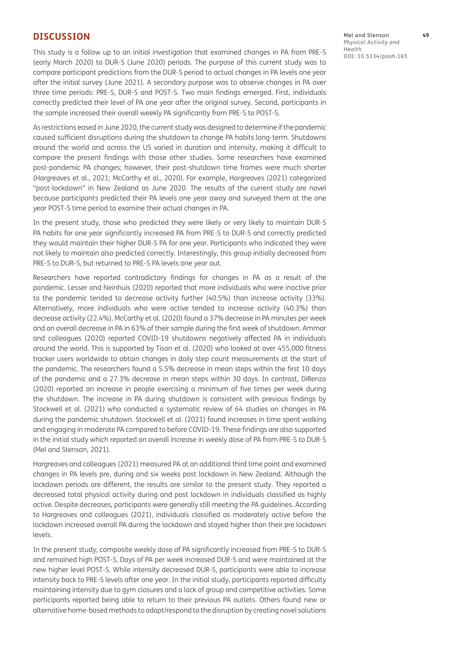#### **DISCUSSION**

This study is a follow up to an initial investigation that examined changes in PA from PRE-S (early March 2020) to DUR-S (June 2020) periods. The purpose of this current study was to compare participant predictions from the DUR-S period to actual changes in PA levels one year after the initial survey (June 2021). A secondary purpose was to observe changes in PA over three time periods: PRE-S, DUR-S and POST-S. Two main findings emerged. First, individuals correctly predicted their level of PA one year after the original survey. Second, participants in the sample increased their overall weekly PA significantly from PRE-S to POST-S.

As restrictions eased in June 2020, the current study was designed to determine if the pandemic caused sufficient disruptions during the shutdown to change PA habits long-term. Shutdowns around the world and across the US varied in duration and intensity, making it difficult to compare the present findings with those other studies. Some researchers have examined post-pandemic PA changes; however, their post-shutdown time frames were much shorter [\(Hargreaves et al., 2021;](#page-11-10) [McCarthy et al., 2020\)](#page-11-4). For example, Hargreaves ([2021\)](#page-11-10) categorized "post-lockdown" in New Zealand as June 2020. The results of the current study are novel because participants predicted their PA levels one year away and surveyed them at the one year POST-S time period to examine their actual changes in PA.

In the present study, those who predicted they were likely or very likely to maintain DUR-S PA habits for one year significantly increased PA from PRE-S to DUR-S and correctly predicted they would maintain their higher DUR-S PA for one year. Participants who indicated they were not likely to maintain also predicted correctly. Interestingly, this group initially decreased from PRE-S to DUR-S, but returned to PRE-S PA levels one year out.

Researchers have reported contradictory findings for changes in PA as a result of the pandemic. Lesser and Neinhuis [\(2020\)](#page-11-5) reported that more individuals who were inactive prior to the pandemic tended to decrease activity further (40.5%) than increase activity (33%). Alternatively, more individuals who were active tended to increase activity (40.3%) than decrease activity (22.4%). McCarthy et al. [\(2020\)](#page-11-4) found a 37% decrease in PA minutes per week and an overall decrease in PA in 63% of their sample during the first week of shutdown. Ammar and colleagues ([2020](#page-10-8)) reported COVID-19 shutdowns negatively affected PA in individuals around the world. This is supported by Tison et al. [\(2020](#page-11-11)) who looked at over 455,000 fitness tracker users worldwide to obtain changes in daily step count measurements at the start of the pandemic. The researchers found a 5.5% decrease in mean steps within the first 10 days of the pandemic and a 27.3% decrease in mean steps within 30 days. In contrast, DiRenzo (2020) reported an increase in people exercising a minimum of five times per week during the shutdown. The increase in PA during shutdown is consistent with previous findings by Stockwell et al. [\(2021\)](#page-11-12) who conducted a systematic review of 64 studies on changes in PA during the pandemic shutdown. Stockwell et al. ([2021](#page-11-12)) found increases in time spent walking and engaging in moderate PA compared to before COVID-19. These findings are also supported in the initial study which reported an overall increase in weekly dose of PA from PRE-S to DUR-S [\(Mel and Stenson, 2021\)](#page-11-8).

Hargreaves and colleagues ([2021](#page-11-10)) measured PA at an additional third time point and examined changes in PA levels pre, during and six weeks post lockdown in New Zealand. Although the lockdown periods are different, the results are similar to the present study. They reported a decreased total physical activity during and post lockdown in individuals classified as highly active. Despite decreases, participants were generally still meeting the PA guidelines. According to Hargreaves and colleagues [\(2021\)](#page-11-10), individuals classified as moderately active before the lockdown increased overall PA during the lockdown and stayed higher than their pre lockdown levels.

In the present study, composite weekly dose of PA significantly increased from PRE-S to DUR-S and remained high POST-S. Days of PA per week increased DUR-S and were maintained at the new higher level POST-S. While intensity decreased DUR-S, participants were able to increase intensity back to PRE-S levels after one year. In the initial study, participants reported difficulty maintaining intensity due to gym closures and a lack of group and competitive activities. Some participants reported being able to return to their previous PA outlets. Others found new or alternative home-based methods to adapt/respond to the disruption by creating novel solutions Mel and Stenson **49** *Physical Activity and Health* DOI: 10.5334/paah.165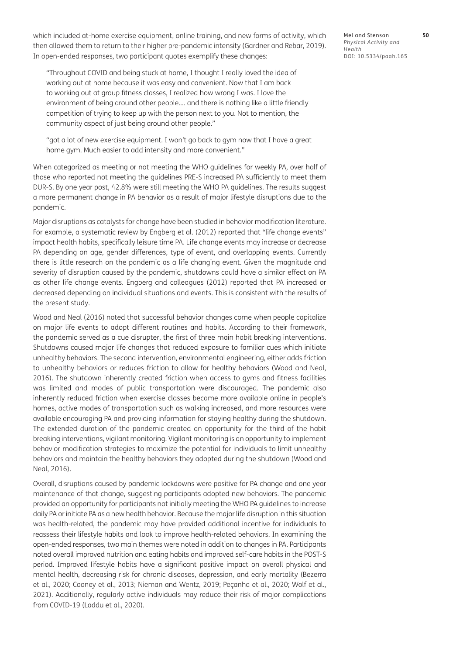which included at-home exercise equipment, online training, and new forms of activity, which then allowed them to return to their higher pre-pandemic intensity ([Gardner and Rebar, 2019](#page-11-13)). In open-ended responses, two participant quotes exemplify these changes:

"Throughout COVID and being stuck at home, I thought I really loved the idea of working out at home because it was easy and convenient. Now that I am back to working out at group fitness classes, I realized how wrong I was. I love the environment of being around other people…. and there is nothing like a little friendly competition of trying to keep up with the person next to you. Not to mention, the community aspect of just being around other people."

"got a lot of new exercise equipment. I won't go back to gym now that I have a great home gym. Much easier to add intensity and more convenient."

When categorized as meeting or not meeting the WHO guidelines for weekly PA, over half of those who reported not meeting the guidelines PRE-S increased PA sufficiently to meet them DUR-S. By one year post, 42.8% were still meeting the WHO PA guidelines. The results suggest a more permanent change in PA behavior as a result of major lifestyle disruptions due to the pandemic.

Major disruptions as catalysts for change have been studied in behavior modification literature. For example, a systematic review by Engberg et al. [\(2012](#page-11-7)) reported that "life change events" impact health habits, specifically leisure time PA. Life change events may increase or decrease PA depending on age, gender differences, type of event, and overlapping events. Currently there is little research on the pandemic as a life changing event. Given the magnitude and severity of disruption caused by the pandemic, shutdowns could have a similar effect on PA as other life change events. Engberg and colleagues ([2012\)](#page-11-7) reported that PA increased or decreased depending on individual situations and events. This is consistent with the results of the present study.

Wood and Neal ([2016\)](#page-12-1) noted that successful behavior changes come when people capitalize on major life events to adopt different routines and habits. According to their framework, the pandemic served as a cue disrupter, the first of three main habit breaking interventions. Shutdowns caused major life changes that reduced exposure to familiar cues which initiate unhealthy behaviors. The second intervention, environmental engineering, either adds friction to unhealthy behaviors or reduces friction to allow for healthy behaviors ([Wood and Neal,](#page-12-1)  [2016](#page-12-1)). The shutdown inherently created friction when access to gyms and fitness facilities was limited and modes of public transportation were discouraged. The pandemic also inherently reduced friction when exercise classes became more available online in people's homes, active modes of transportation such as walking increased, and more resources were available encouraging PA and providing information for staying healthy during the shutdown. The extended duration of the pandemic created an opportunity for the third of the habit breaking interventions, vigilant monitoring. Vigilant monitoring is an opportunity to implement behavior modification strategies to maximize the potential for individuals to limit unhealthy behaviors and maintain the healthy behaviors they adopted during the shutdown ([Wood and](#page-12-1)  [Neal, 2016](#page-12-1)).

Overall, disruptions caused by pandemic lockdowns were positive for PA change and one year maintenance of that change, suggesting participants adopted new behaviors. The pandemic provided an opportunity for participants not initially meeting the WHO PA guidelines to increase daily PA or initiate PA as a new health behavior. Because the major life disruption in this situation was health-related, the pandemic may have provided additional incentive for individuals to reassess their lifestyle habits and look to improve health-related behaviors. In examining the open-ended responses, two main themes were noted in addition to changes in PA. Participants noted overall improved nutrition and eating habits and improved self-care habits in the POST-S period. Improved lifestyle habits have a significant positive impact on overall physical and mental health, decreasing risk for chronic diseases, depression, and early mortality [\(Bezerra](#page-10-2)  [et al., 2020;](#page-10-2) [Cooney et al., 2013;](#page-10-3) Nieman and Wentz, 2019; Peçanha et al., 2020; [Wolf et al.,](#page-12-0)  [2021](#page-12-0)). Additionally, regularly active individuals may reduce their risk of major complications from COVID-19 ([Laddu et al., 2020\)](#page-11-2).

Mel and Stenson **50** *Physical Activity and Health* DOI: 10.5334/paah.165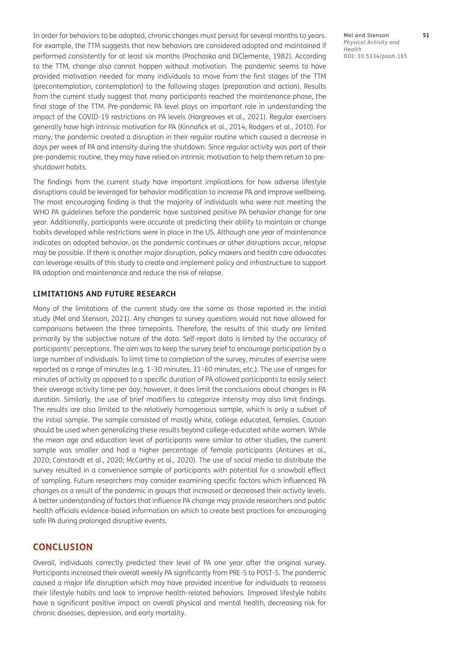In order for behaviors to be adopted, chronic changes must persist for several months to years. For example, the TTM suggests that new behaviors are considered adopted and maintained if performed consistently for at least six months [\(Prochaska and DiClemente, 1982\)](#page-11-14). According to the TTM, change also cannot happen without motivation. The pandemic seems to have provided motivation needed for many individuals to move from the first stages of the TTM (precontemplation, contemplation) to the following stages (preparation and action). Results from the current study suggest that many participants reached the maintenance phase, the final stage of the TTM. Pre-pandemic PA level plays an important role in understanding the impact of the COVID-19 restrictions on PA levels ([Hargreaves et al., 2021\)](#page-11-10). Regular exercisers generally have high intrinsic motivation for PA (Kinnafick et al., 2014; [Rodgers et al., 2010\)](#page-11-15). For many, the pandemic created a disruption in their regular routine which caused a decrease in days per week of PA and intensity during the shutdown. Since regular activity was part of their pre-pandemic routine, they may have relied on intrinsic motivation to help them return to preshutdown habits.

The findings from the current study have important implications for how adverse lifestyle disruptions could be leveraged for behavior modification to increase PA and improve wellbeing. The most encouraging finding is that the majority of individuals who were not meeting the WHO PA guidelines before the pandemic have sustained positive PA behavior change for one year. Additionally, participants were accurate at predicting their ability to maintain or change habits developed while restrictions were in place in the US. Although one year of maintenance indicates an adopted behavior, as the pandemic continues or other disruptions occur, relapse may be possible. If there is another major disruption, policy makers and health care advocates can leverage results of this study to create and implement policy and infrastructure to support PA adoption and maintenance and reduce the risk of relapse.

#### **LIMITATIONS AND FUTURE RESEARCH**

Many of the limitations of the current study are the same as those reported in the initial study ([Mel and Stenson, 2021\)](#page-11-8). Any changes to survey questions would not have allowed for comparisons between the three timepoints. Therefore, the results of this study are limited primarily by the subjective nature of the data. Self-report data is limited by the accuracy of participants' perceptions. The aim was to keep the survey brief to encourage participation by a large number of individuals. To limit time to completion of the survey, minutes of exercise were reported as a range of minutes (e.g. 1–30 minutes, 31–60 minutes, etc.). The use of ranges for minutes of activity as opposed to a specific duration of PA allowed participants to easily select their average activity time per day; however, it does limit the conclusions about changes in PA duration. Similarly, the use of brief modifiers to categorize intensity may also limit findings. The results are also limited to the relatively homogenous sample, which is only a subset of the initial sample. The sample consisted of mostly white, college educated, females. Caution should be used when generalizing these results beyond college-educated white women. While the mean age and education level of participants were similar to other studies, the current sample was smaller and had a higher percentage of female participants (Antunes et al., 2020; [Constandt et al., 2020;](#page-10-4) [McCarthy et al., 2020](#page-11-4)). The use of social media to distribute the survey resulted in a convenience sample of participants with potential for a snowball effect of sampling. Future researchers may consider examining specific factors which influenced PA changes as a result of the pandemic in groups that increased or decreased their activity levels. A better understanding of factors that influence PA change may provide researchers and public health officials evidence-based information on which to create best practices for encouraging safe PA during prolonged disruptive events.

#### **CONCLUSION**

Overall, individuals correctly predicted their level of PA one year after the original survey. Participants increased their overall weekly PA significantly from PRE-S to POST-S. The pandemic caused a major life disruption which may have provided incentive for individuals to reassess their lifestyle habits and look to improve health-related behaviors. Improved lifestyle habits have a significant positive impact on overall physical and mental health, decreasing risk for chronic diseases, depression, and early mortality.

Mel and Stenson **51** *Physical Activity and Health* DOI: 10.5334/paah.165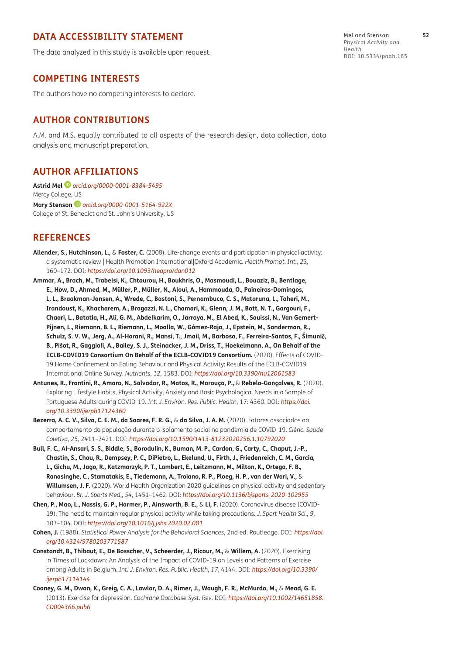#### **DATA ACCESSIBILITY STATEMENT**

The data analyzed in this study is available upon request.

#### **COMPETING INTERESTS**

The authors have no competing interests to declare.

#### **AUTHOR CONTRIBUTIONS**

A.M. and M.S. equally contributed to all aspects of the research design, data collection, data analysis and manuscript preparation.

#### <span id="page-10-0"></span>**AUTHOR AFFILIATIONS**

**Astrid Mel** *[orcid.org/0000-0001-8384-5495](https://orcid.org/0000-0001-8384-5495)* Mercy College, US **Mary Stenson***[orcid.org/0000-0001-5164-922X](https://orcid.org/0000-0001-5164-922X)* College of St. Benedict and St. John's University, US

#### **REFERENCES**

- <span id="page-10-5"></span>**Allender, S., Hutchinson, L.,** & **Foster, C.** (2008). Life-change events and participation in physical activity: a systematic review | Health Promotion International|Oxford Academic. *Health Promot. Int.*, *23*, 160–172. DOI: *<https://doi.org/10.1093/heapro/dan012>*
- <span id="page-10-8"></span>**Ammar, A., Brach, M., Trabelsi, K., Chtourou, H., Boukhris, O., Masmoudi, L., Bouaziz, B., Bentlage, E., How, D., Ahmed, M., Müller, P., Müller, N., Aloui, A., Hammouda, O., Paineiras-Domingos, L. L., Braakman-Jansen, A., Wrede, C., Bastoni, S., Pernambuco, C. S., Mataruna, L., Taheri, M., Irandoust, K., Khacharem, A., Bragazzi, N. L., Chamari, K., Glenn, J. M., Bott, N. T., Gargouri, F., Chaari, L., Batatia, H., Ali, G. M., Abdelkarim, O., Jarraya, M., El Abed, K., Souissi, N., Van Gemert-Pijnen, L., Riemann, B. L., Riemann, L., Moalla, W., Gómez-Raja, J., Epstein, M., Sanderman, R., Schulz, S. V. W., Jerg, A., Al-Horani, R., Mansi, T., Jmail, M., Barbosa, F., Ferreira-Santos, F., Šimuni**č**, B., Pišot, R., Gaggioli, A., Bailey, S. J., Steinacker, J. M., Driss, T., Hoekelmann, A., On Behalf of the ECLB-COVID19 Consortium On Behalf of the ECLB-COVID19 Consortium.** (2020). Effects of COVID-19 Home Confinement on Eating Behaviour and Physical Activity: Results of the ECLB-COVID19 International Online Survey. *Nutrients*, *12*, 1583. DOI: *<https://doi.org/10.3390/nu12061583>*
- **Antunes, R., Frontini, R., Amaro, N., Salvador, R., Matos, R., Morouço, P.,** & **Rebelo-Gonçalves, R.** (2020). Exploring Lifestyle Habits, Physical Activity, Anxiety and Basic Psychological Needs in a Sample of Portuguese Adults during COVID-19. *Int. J. Environ. Res. Public. Health*, 17: 4360. DOI: *[https://doi.](https://doi.org/10.3390/ijerph17124360) [org/10.3390/ijerph17124360](https://doi.org/10.3390/ijerph17124360)*
- <span id="page-10-2"></span>**Bezerra, A. C. V., Silva, C. E. M., da Soares, F. R. G.,** & **da Silva, J. A. M.** (2020). Fatores associados ao comportamento da população durante o isolamento social na pandemia de COVID-19. *Ciênc. Saúde Coletiva*, *25*, 2411–2421. DOI: *<https://doi.org/10.1590/1413-81232020256.1.10792020>*
- <span id="page-10-1"></span>**Bull, F. C., Al-Ansari, S. S., Biddle, S., Borodulin, K., Buman, M. P., Cardon, G., Carty, C., Chaput, J.-P., Chastin, S., Chou, R., Dempsey, P. C., DiPietro, L., Ekelund, U., Firth, J., Friedenreich, C. M., Garcia, L., Gichu, M., Jago, R., Katzmarzyk, P. T., Lambert, E., Leitzmann, M., Milton, K., Ortega, F. B., Ranasinghe, C., Stamatakis, E., Tiedemann, A., Troiano, R. P., Ploeg, H. P., van der Wari, V.,** & **Willumsen, J. F.** (2020). World Health Organization 2020 guidelines on physical activity and sedentary behaviour. *Br. J. Sports Med.*, *54*, 1451–1462. DOI: *<https://doi.org/10.1136/bjsports-2020-102955>*
- <span id="page-10-6"></span>**Chen, P., Mao, L., Nassis, G. P., Harmer, P., Ainsworth, B. E.,** & **Li, F.** (2020). Coronavirus disease (COVID-19): The need to maintain regular physical activity while taking precautions. *J. Sport Health Sci.*, *9*, 103–104. DOI: *<https://doi.org/10.1016/j.jshs.2020.02.001>*
- <span id="page-10-7"></span>**Cohen, J.** (1988). *Statistical Power Analysis for the Behavioral Sciences*, 2nd ed. Routledge. DOI: *[https://doi.](https://doi.org/10.4324/9780203771587) [org/10.4324/9780203771587](https://doi.org/10.4324/9780203771587)*
- <span id="page-10-4"></span>**Constandt, B., Thibaut, E., De Bosscher, V., Scheerder, J., Ricour, M.,** & **Willem, A.** (2020). Exercising in Times of Lockdown: An Analysis of the Impact of COVID-19 on Levels and Patterns of Exercise among Adults in Belgium. *Int. J. Environ. Res. Public. Health*, *17*, 4144. DOI: *[https://doi.org/10.3390/](https://doi.org/10.3390/ijerph17114144) [ijerph17114144](https://doi.org/10.3390/ijerph17114144)*
- <span id="page-10-3"></span>**Cooney, G. M., Dwan, K., Greig, C. A., Lawlor, D. A., Rimer, J., Waugh, F. R., McMurdo, M.,** & **Mead, G. E.** (2013). Exercise for depression. *Cochrane Database Syst. Rev*. DOI: *[https://doi.org/10.1002/14651858.](https://doi.org/10.1002/14651858.CD004366.pub6) [CD004366.pub6](https://doi.org/10.1002/14651858.CD004366.pub6)*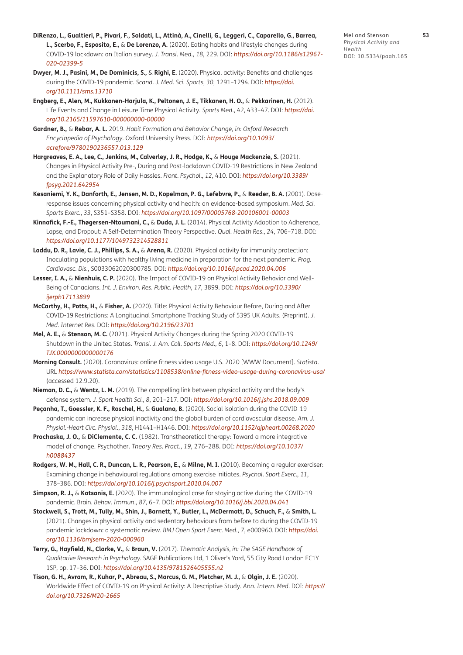- **DiRenzo, L., Gualtieri, P., Pivari, F., Soldati, L., Attinà, A., Cinelli, G., Leggeri, C., Caparello, G., Barrea, L., Scerbo, F., Esposito, E.,** & **De Lorenzo, A.** (2020). Eating habits and lifestyle changes during COVID-19 lockdown: an Italian survey. *J. Transl. Med.*, *18*, 229. DOI: *[https://doi.org/10.1186/s12967-](https://doi.org/10.1186/s12967-020-02399-5) [020-02399-5](https://doi.org/10.1186/s12967-020-02399-5)*
- <span id="page-11-1"></span>**Dwyer, M. J., Pasini, M., De Dominicis, S.,** & **Righi, E.** (2020). Physical activity: Benefits and challenges during the COVID-‐19 pandemic. *Scand. J. Med. Sci. Sports*, *30*, 1291–1294. DOI: *[https://doi.](https://doi.org/10.1111/sms.13710) [org/10.1111/sms.13710](https://doi.org/10.1111/sms.13710)*
- <span id="page-11-7"></span>**Engberg, E., Alen, M., Kukkonen-Harjula, K., Peltonen, J. E., Tikkanen, H. O.,** & **Pekkarinen, H.** (2012). Life Events and Change in Leisure Time Physical Activity. *Sports Med.*, *42*, 433–47. DOI: *[https://doi.](https://doi.org/10.2165/11597610-000000000-00000) [org/10.2165/11597610-000000000-00000](https://doi.org/10.2165/11597610-000000000-00000)*
- <span id="page-11-13"></span>**Gardner, B.,** & **Rebar, A. L.** 2019. *Habit Formation and Behavior Change, in: Oxford Research Encyclopedia of Psychology*. Oxford University Press. DOI: *[https://doi.org/10.1093/](https://doi.org/10.1093/acrefore/9780190236557.013.129) [acrefore/9780190236557.013.129](https://doi.org/10.1093/acrefore/9780190236557.013.129)*
- <span id="page-11-10"></span>**Hargreaves, E. A., Lee, C., Jenkins, M., Calverley, J. R., Hodge, K.,** & **Houge Mackenzie, S.** (2021). Changes in Physical Activity Pre-, During and Post-lockdown COVID-19 Restrictions in New Zealand and the Explanatory Role of Daily Hassles. *Front. Psychol.*, *12*, 410. DOI: *[https://doi.org/10.3389/](https://doi.org/10.3389/fpsyg.2021.642954) [fpsyg.2021.642954](https://doi.org/10.3389/fpsyg.2021.642954)*
- <span id="page-11-0"></span>**Kesaniemi, Y. K., Danforth, E., Jensen, M. D., Kopelman, P. G., Lefebvre, P.,** & **Reeder, B. A.** (2001). Doseresponse issues concerning physical activity and health: an evidence-based symposium. *Med. Sci. Sports Exerc.*, *33*, S351–S358. DOI: *<https://doi.org/10.1097/00005768-200106001-00003>*
- **Kinnafick, F.-E., Thøgersen-Ntoumani, C.,** & **Duda, J. L.** (2014). Physical Activity Adoption to Adherence, Lapse, and Dropout: A Self-Determination Theory Perspective. *Qual. Health Res.*, *24*, 706–718. DOI: *<https://doi.org/10.1177/1049732314528811>*
- <span id="page-11-2"></span>**Laddu, D. R., Lavie, C. J., Phillips, S. A.,** & **Arena, R.** (2020). Physical activity for immunity protection: Inoculating populations with healthy living medicine in preparation for the next pandemic. *Prog. Cardiovasc. Dis.*, S0033062020300785. DOI: *<https://doi.org/10.1016/j.pcad.2020.04.006>*
- <span id="page-11-5"></span>**Lesser, I. A.,** & **Nienhuis, C. P.** (2020). The Impact of COVID-19 on Physical Activity Behavior and Well-Being of Canadians. *Int. J. Environ. Res. Public. Health*, *17*, 3899. DOI: *[https://doi.org/10.3390/](https://doi.org/10.3390/ijerph17113899) [ijerph17113899](https://doi.org/10.3390/ijerph17113899)*
- <span id="page-11-4"></span>**McCarthy, H., Potts, H.,** & **Fisher, A.** (2020). Title: Physical Activity Behaviour Before, During and After COVID-19 Restrictions: A Longitudinal Smartphone Tracking Study of 5395 UK Adults. (Preprint). *J. Med. Internet Res*. DOI: *<https://doi.org/10.2196/23701>*
- <span id="page-11-8"></span>**Mel, A. E.,** & **Stenson, M. C.** (2021). Physical Activity Changes during the Spring 2020 COVID-19 Shutdown in the United States. *Transl. J. Am. Coll. Sports Med*., *6*, 1–8. DOI: *[https://doi.org/10.1249/](https://doi.org/10.1249/TJX.0000000000000176) [TJX.0000000000000176](https://doi.org/10.1249/TJX.0000000000000176)*
- <span id="page-11-6"></span>**Morning Consult.** (2020). Coronavirus: online fitness video usage U.S. 2020 [WWW Document]. *Statista*. URL *<https://www.statista.com/statistics/1108538/online-fitness-video-usage-during-coronavirus-usa/>* (accessed 12.9.20).
- **Nieman, D. C.,** & **Wentz, L. M.** (2019). The compelling link between physical activity and the body's defense system. *J. Sport Health Sci.*, *8*, 201–217. DOI: *<https://doi.org/10.1016/j.jshs.2018.09.009>*
- **Peçanha, T., Goessler, K. F., Roschel, H.,** & **Gualano, B.** (2020). Social isolation during the COVID-19 pandemic can increase physical inactivity and the global burden of cardiovascular disease. *Am. J. Physiol.-Heart Circ. Physiol.*, *318*, H1441–H1446. DOI: *<https://doi.org/10.1152/ajpheart.00268.2020>*
- <span id="page-11-14"></span>**Prochaska, J. O.,** & **DiClemente, C. C.** (1982). Transtheoretical therapy: Toward a more integrative model of change. Psychother. *Theory Res. Pract.*, *19*, 276–288. DOI: *[https://doi.org/10.1037/](https://doi.org/10.1037/h0088437) [h0088437](https://doi.org/10.1037/h0088437)*
- <span id="page-11-15"></span>**Rodgers, W. M., Hall, C. R., Duncan, L. R., Pearson, E.,** & **Milne, M. I.** (2010). Becoming a regular exerciser: Examining change in behavioural regulations among exercise initiates. *Psychol. Sport Exerc.*, *11*, 378–386. DOI: *<https://doi.org/10.1016/j.psychsport.2010.04.007>*
- <span id="page-11-3"></span>**Simpson, R. J.,** & **Katsanis, E.** (2020). The immunological case for staying active during the COVID-19 pandemic. Brain. *Behav. Immun*., *87*, 6–7. DOI: *<https://doi.org/10.1016/j.bbi.2020.04.041>*
- <span id="page-11-12"></span>**Stockwell, S., Trott, M., Tully, M., Shin, J., Barnett, Y., Butler, L., McDermott, D., Schuch, F.,** & **Smith, L.** (2021). Changes in physical activity and sedentary behaviours from before to during the COVID-19 pandemic lockdown: a systematic review. *BMJ Open Sport Exerc. Med.*, *7*, e000960. DOI: *[https://doi.](https://doi.org/10.1136/bmjsem-2020-000960) [org/10.1136/bmjsem-2020-000960](https://doi.org/10.1136/bmjsem-2020-000960)*
- <span id="page-11-9"></span>**Terry, G., Hayfield, N., Clarke, V.,** & **Braun, V.** (2017). *Thematic Analysis, in: The SAGE Handbook of Qualitative Research in Psychology*. SAGE Publications Ltd, 1 Oliver's Yard, 55 City Road London EC1Y 1SP, pp. 17–36. DOI: *<https://doi.org/10.4135/9781526405555.n2>*
- <span id="page-11-11"></span>**Tison, G. H., Avram, R., Kuhar, P., Abreau, S., Marcus, G. M., Pletcher, M. J.,** & **Olgin, J. E.** (2020). Worldwide Effect of COVID-19 on Physical Activity: A Descriptive Study. *Ann. Intern. Med*. DOI: *[https://](https://doi.org/10.7326/M20-2665) [doi.org/10.7326/M20-2665](https://doi.org/10.7326/M20-2665)*

Mel and Stenson **53** *Physical Activity and Health* DOI: 10.5334/paah.165